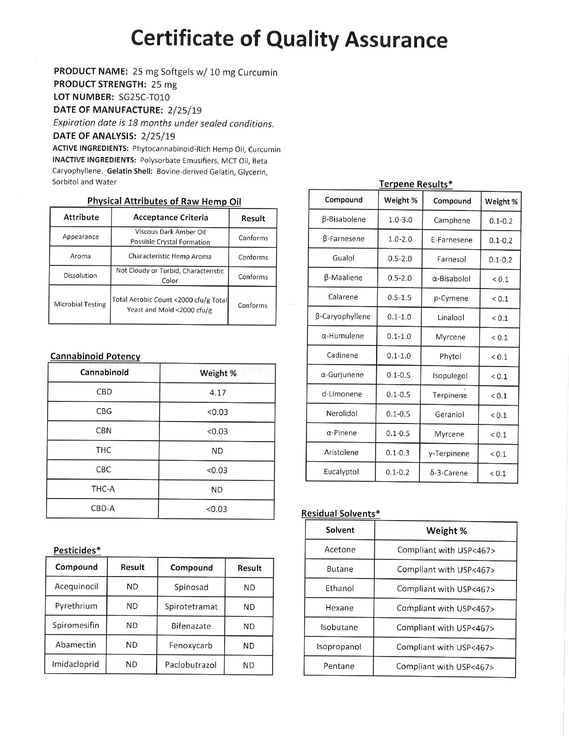# **Certificate of Quality Assurance**

PRODUCT NAME: 25 mg Softgels w/ 10 mg Curcumin

PRODUCT STRENGTH: 25 mg

LOT NUMBER: SG25C-T010

DATE OF MANUFACTURE: 2/25/19

Expiration date is 18 months under sealed conditions.

DATE OF ANALYSIS: 2/25/19

ACTIVE INGREDIENTS: Phytocannabinoid-Rich Hemp Oil, Curcumin **INACTIVE INGREDIENTS: Polysorbate Emusifiers, MCT Oil, Beta** Caryophyllene. Gelatin Shell: Bovine-derived Gelatin, Glycerin, Sorbitol and Water

# **Physical Attributes of Raw Hemp Oil**

| <b>Attribute</b>         | Acceptance Criteria                                                 |          |  |  |  |
|--------------------------|---------------------------------------------------------------------|----------|--|--|--|
| Appearance               | Viscous Dark Amber Oil<br>Possible Crystal Formation                | Conforms |  |  |  |
| Aroma                    | Conforms                                                            |          |  |  |  |
| Dissolution              | Not Cloudy or Turbid, Characteristic<br>Color                       |          |  |  |  |
| <b>Microbial Testing</b> | Total Aerobic Count <2000 cfu/g Total<br>Yeast and Mold <2000 cfu/g | Conforms |  |  |  |

## **Cannabinoid Potency**

| Cannabinoid | Weight %  |  |
|-------------|-----------|--|
| CBD         | 4.17      |  |
| <b>CBG</b>  | < 0.03    |  |
| <b>CBN</b>  | < 0.03    |  |
| <b>THC</b>  | <b>ND</b> |  |
| <b>CBC</b>  | < 0.03    |  |
| THC-A       | <b>ND</b> |  |
| CBD-A       | < 0.03    |  |

## Pesticides\*

| Compound     | Result    | Compound      | Result    |
|--------------|-----------|---------------|-----------|
| Acequinocil  | <b>ND</b> | Spinosad      | ND        |
| Pyrethrium   | ND        | Spirotetramat | ND        |
| Spiromesifin | ND.       | Bifenazate    | <b>ND</b> |
| Abamectin    | <b>ND</b> | Fenoxycarb    | ND        |
| Imidacloprid | ND        | Paclobutrazol | ND        |

| Terpene Results*   |                        |                     |             |  |  |  |  |  |
|--------------------|------------------------|---------------------|-------------|--|--|--|--|--|
| Compound           | Weight %               | Compound            | Weight %    |  |  |  |  |  |
| β-Bisabolene       | $1.0 - 3.0$            | Camphene            | $0.1 - 0.2$ |  |  |  |  |  |
| B-Farnesene        | $1.0 - 2.0$            | E-Farnesene         | $0.1 - 0.2$ |  |  |  |  |  |
| Gualol             | $0.5 - 2.0$            | Farnesol            | $0.1 - 0.2$ |  |  |  |  |  |
| β-Maaliene         | $0.5 - 2.0$            | $\alpha$ -Bisabolol | ${}_{0.1}$  |  |  |  |  |  |
| Calarene           | $0.5 - 1.5$            | p-Cymene            | ${}_{0.1}$  |  |  |  |  |  |
| β-Caryophyllene    | $0.1 - 1.0$            | Linalool            | ${}_{0.1}$  |  |  |  |  |  |
| $\alpha$ -Humulene | $0.1 - 1.0$<br>Myrcene |                     | < 0.1       |  |  |  |  |  |
| Cadinene           | $0.1 - 1.0$            | Phytol              | ${}_{0.1}$  |  |  |  |  |  |
| α-Gurjunene        | $0.1 - 0.5$            | Isopulegol          | ${}_{0.1}$  |  |  |  |  |  |
| d-Limonene         | $0.1 - 0.5$            | Terpinene           | ${}_{0.1}$  |  |  |  |  |  |
| Nerolidol          | $0.1 - 0.5$            | Geraniol            | ${}_{0.1}$  |  |  |  |  |  |
| $\alpha$ -Pinene   | $0.1 - 0.5$            | Myrcene             | < 0.1       |  |  |  |  |  |
| Aristolene         | $0.1 - 0.3$            | γ-Terpinene         | ${}_{0.1}$  |  |  |  |  |  |
| Eucalyptol         | $0.1 - 0.2$            | $\delta$ -3-Carene  | < 0.1       |  |  |  |  |  |

# **Residual Solvents\***

| Solvent       | Weight %                |
|---------------|-------------------------|
| Acetone       | Compliant with USP<467> |
| <b>Butane</b> | Compliant with USP<467> |
| Ethanol       | Compliant with USP<467> |
| Hexane        | Compliant with USP<467> |
| Isobutane     | Compliant with USP<467> |
| Isopropanol   | Compliant with USP<467> |
| Pentane       | Compliant with USP<467> |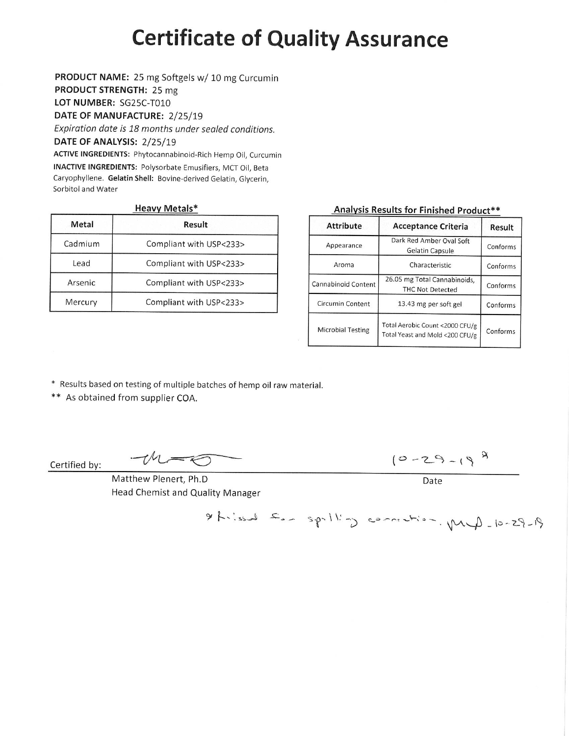# **Certificate of Quality Assurance**

PRODUCT NAME: 25 mg Softgels w/ 10 mg Curcumin

PRODUCT STRENGTH: 25 mg LOT NUMBER: SG25C-T010

DATE OF MANUFACTURE: 2/25/19

Expiration date is 18 months under sealed conditions. DATE OF ANALYSIS: 2/25/19 ACTIVE INGREDIENTS: Phytocannabinoid-Rich Hemp Oil, Curcumin

**INACTIVE INGREDIENTS: Polysorbate Emusifiers, MCT Oil, Beta** Caryophyllene. Gelatin Shell: Bovine-derived Gelatin, Glycerin, Sorbitol and Water

# **Heavy Metals\***

| Metal   | Result                  |
|---------|-------------------------|
| Cadmium | Compliant with USP<233> |
| Lead    | Compliant with USP<233> |
| Arsenic | Compliant with USP<233> |
| Mercury | Compliant with USP<233> |

# Analysis Results for Finished Product\*\*

| <b>Attribute</b>         | <b>Acceptance Criteria</b>                                         | Result   |
|--------------------------|--------------------------------------------------------------------|----------|
| Appearance               | Dark Red Amber Oval Soft<br><b>Gelatin Capsule</b>                 | Conforms |
| Aroma                    | Characteristic                                                     | Conforms |
| Cannabinoid Content      | 26.05 mg Total Cannabinoids,<br><b>THC Not Detected</b>            | Conforms |
| Circumin Content         | 13.43 mg per soft gel                                              | Conforms |
| <b>Microbial Testing</b> | Total Aerobic Count <2000 CFU/g<br>Total Yeast and Mold <200 CFU/g | Conforms |

\* Results based on testing of multiple batches of hemp oil raw material.

\*\* As obtained from supplier COA.

Certified by:

Matthew Plenert, Ph.D Head Chemist and Quality Manager

 $-M=\sqrt{2}$ 

 $10 - 29 - 19^{9}$ 

Date

 $91 - 82 - 01 - 41$   $11 - 22 - 11 - 22 = 0$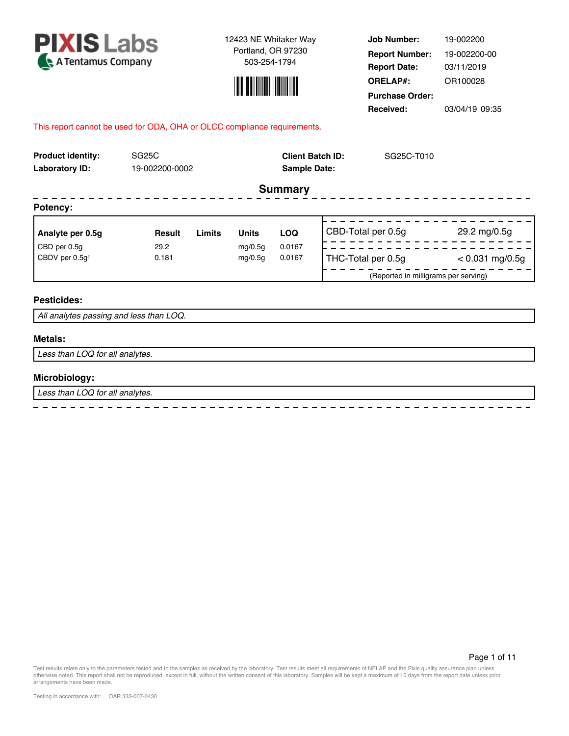



**Job Number: Report Date: ORELAP#:** 03/11/2019 OR100028 **Received:** 03/04/19 09:35 **Purchase Order:** 19-002200 **Report Number:** 19-002200-00

## This report cannot be used for ODA, OHA or OLCC compliance requirements.

| <b>Product identity:</b><br><b>Laboratory ID:</b> | SG <sub>25</sub> C<br>19-002200-0002 |        |              |                | <b>Client Batch ID:</b><br>SG25C-T010<br><b>Sample Date:</b> |                                      |                   |  |
|---------------------------------------------------|--------------------------------------|--------|--------------|----------------|--------------------------------------------------------------|--------------------------------------|-------------------|--|
|                                                   |                                      |        |              | <b>Summary</b> |                                                              |                                      |                   |  |
| Potency:                                          |                                      |        |              |                |                                                              |                                      |                   |  |
| Analyte per 0.5g                                  | <b>Result</b>                        | Limits | <b>Units</b> | <b>LOQ</b>     |                                                              | CBD-Total per 0.5g                   | 29.2 mg/0.5g      |  |
| CBD per 0.5g                                      | 29.2                                 |        | mg/0.5g      | 0.0167         |                                                              |                                      |                   |  |
| CBDV per 0.5q <sup>t</sup>                        | 0.181                                |        | mg/0.5g      | 0.0167         |                                                              | THC-Total per 0.5g                   | $< 0.031$ mg/0.5g |  |
|                                                   |                                      |        |              |                |                                                              | (Reported in milligrams per serving) |                   |  |
| <b>Pesticides:</b>                                |                                      |        |              |                |                                                              |                                      |                   |  |

#### *All analytes passing and less than LOQ.*

#### **Metals:**

*Less than LOQ for all analytes.*

#### **Microbiology:**

*Less than LOQ for all analytes.*

 $\equiv$  $\sim$   $\sim$   $\sim$  $\overline{a}$  $\frac{1}{2}$   $- - - - -$ 

 $\equiv$  $\overline{a}$  $\overline{a}$  $\overline{a}$   $\equiv$  $\sim$  $\equiv$  $\overline{a}$  $\overline{a}$  $\equiv$  $\sim$  $\sim$   $\equiv$ 

Page 1 of 11

Test results relate only to the parameters tested and to the samples as received by the laboratory. Test results meet all requirements of NELAP and the Pixis quality assurance plan unless<br>otherwise noted. This report shall arrangements have been made.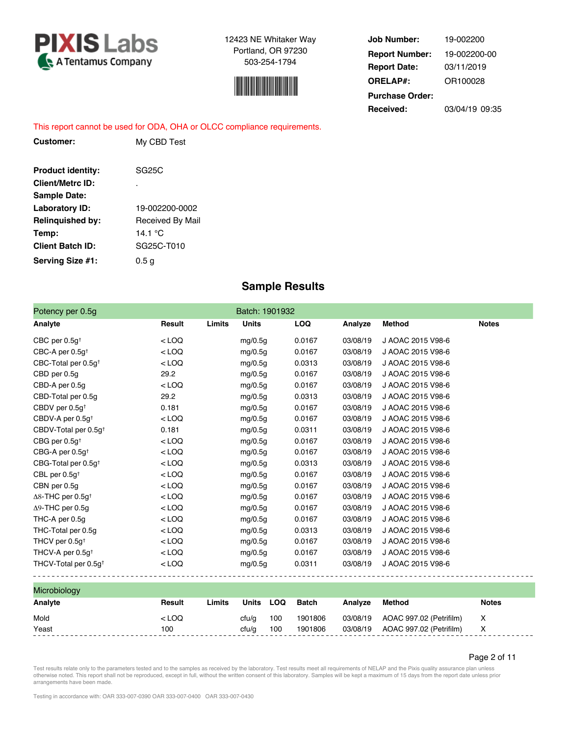



**Job Number: Report Date: ORELAP#:** 03/11/2019 OR100028 **Received:** 03/04/19 09:35 **Purchase Order:** 19-002200 **Report Number:** 19-002200-00

## This report cannot be used for ODA, OHA or OLCC compliance requirements.

| Customer:                | My CBD Test      |
|--------------------------|------------------|
| <b>Product identity:</b> | <b>SG25C</b>     |
| <b>Client/Metrc ID:</b>  | ٠                |
| <b>Sample Date:</b>      |                  |
| Laboratory ID:           | 19-002200-0002   |
| <b>Relinguished by:</b>  | Received By Mail |
| Temp:                    | 14 1 °C          |
| <b>Client Batch ID:</b>  | SG25C-T010       |
| Serving Size #1:         | 0.5 g            |

# **Sample Results**

| Potency per 0.5g                     |         |        | Batch: 1901932 |            |                                   |                   |              |
|--------------------------------------|---------|--------|----------------|------------|-----------------------------------|-------------------|--------------|
| Analyte                              | Result  | Limits | <b>Units</b>   | <b>LOQ</b> | Analyze                           | Method            | <b>Notes</b> |
| CBC per $0.5g†$                      | $<$ LOQ |        | mg/0.5g        | 0.0167     | 03/08/19                          | J AOAC 2015 V98-6 |              |
| CBC-A per $0.5q^+$                   | $<$ LOQ |        | mg/0.5g        | 0.0167     | 03/08/19                          | J AOAC 2015 V98-6 |              |
| CBC-Total per 0.5g <sup>+</sup>      | $<$ LOQ |        | mg/0.5g        | 0.0313     | 03/08/19                          | J AOAC 2015 V98-6 |              |
| CBD per 0.5q                         | 29.2    |        | mg/0.5g        | 0.0167     | 03/08/19                          | J AOAC 2015 V98-6 |              |
| CBD-A per 0.5g                       | $<$ LOQ |        | mg/0.5g        | 0.0167     | 03/08/19                          | J AOAC 2015 V98-6 |              |
| CBD-Total per 0.5g                   | 29.2    |        | mg/0.5g        | 0.0313     | 03/08/19                          | J AOAC 2015 V98-6 |              |
| CBDV per 0.5g <sup>+</sup>           | 0.181   |        | mg/0.5g        | 0.0167     | 03/08/19                          | J AOAC 2015 V98-6 |              |
| CBDV-A per 0.5g <sup>+</sup>         | $<$ LOQ |        | mg/0.5g        | 0.0167     | 03/08/19                          | J AOAC 2015 V98-6 |              |
| CBDV-Total per 0.5g <sup>+</sup>     | 0.181   |        | mg/0.5g        | 0.0311     | 03/08/19                          | J AOAC 2015 V98-6 |              |
| CBG per $0.5q†$                      | $<$ LOQ |        | mg/0.5g        | 0.0167     | 03/08/19                          | J AOAC 2015 V98-6 |              |
| CBG-A per $0.5q^+$                   | $<$ LOQ |        | mg/0.5g        | 0.0167     | 03/08/19                          | J AOAC 2015 V98-6 |              |
| CBG-Total per 0.5g <sup>+</sup>      | $<$ LOQ |        | mg/0.5g        | 0.0313     | 03/08/19                          | J AOAC 2015 V98-6 |              |
| CBL per $0.5g†$                      | $<$ LOQ |        | mg/0.5g        | 0.0167     | 03/08/19                          | J AOAC 2015 V98-6 |              |
| CBN per 0.5g                         | $<$ LOQ |        | mg/0.5g        | 0.0167     | 03/08/19                          | J AOAC 2015 V98-6 |              |
| $\Delta$ 8-THC per 0.5g <sup>+</sup> | $<$ LOQ |        | mg/0.5g        | 0.0167     | 03/08/19                          | J AOAC 2015 V98-6 |              |
| $\Delta$ 9-THC per 0.5g              | $<$ LOQ |        | mg/0.5g        | 0.0167     | 03/08/19                          | J AOAC 2015 V98-6 |              |
| THC-A per 0.5g                       | $<$ LOQ |        | mg/0.5g        | 0.0167     | 03/08/19                          | J AOAC 2015 V98-6 |              |
| THC-Total per 0.5g                   | $<$ LOQ |        | mg/0.5g        | 0.0313     | 03/08/19                          | J AOAC 2015 V98-6 |              |
| THCV per 0.5g <sup>+</sup>           | $<$ LOQ |        | mg/0.5g        | 0.0167     | 03/08/19                          | J AOAC 2015 V98-6 |              |
| THCV-A per $0.5q^+$                  | $<$ LOQ |        | mg/0.5g        | 0.0167     | 03/08/19                          | J AOAC 2015 V98-6 |              |
| THCV-Total per 0.5g <sup>+</sup>     | $<$ LOQ |        | mg/0.5g        | 0.0311     | 03/08/19<br>--------------------- | J AOAC 2015 V98-6 |              |

| <b>Microbiology</b> |        |        |           |     |         |         |                                                     |       |
|---------------------|--------|--------|-----------|-----|---------|---------|-----------------------------------------------------|-------|
| Analyte             | Result | Limits | Units     | LOQ | Batch   | Analvze | Method                                              | Notes |
| Mold                | < LOQ  |        | cfu/g 100 |     | 1901806 |         | 03/08/19 AOAC 997.02 (Petrifilm)<br>$\mathsf{X}$    |       |
| Yeast               | 100    |        | cfu/a     | 100 | 1901806 |         | 03/08/19    AOAC 997.02 (Petrifilm)<br>$\mathsf{X}$ |       |
|                     |        |        |           |     |         |         |                                                     |       |

Page 2 of 11

Test results relate only to the parameters tested and to the samples as received by the laboratory. Test results meet all requirements of NELAP and the Pixis quality assurance plan unless<br>otherwise noted. This report shall arrangements have been made.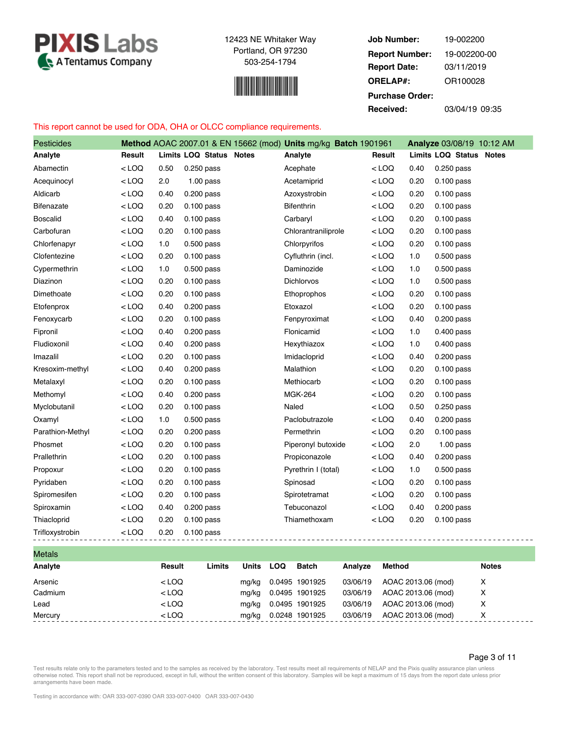



**Job Number: Report Date: ORELAP#:** 03/11/2019 OR100028 **Received:** 03/04/19 09:35 **Purchase Order:** 19-002200 **Report Number:** 19-002200-00

# This report cannot be used for ODA, OHA or OLCC compliance requirements.

| <b>Pesticides</b>  |         |      |                         | Method AOAC 2007.01 & EN 15662 (mod) Units mg/kg Batch 1901961 |         |       | Analyze 03/08/19 10:12 AM |
|--------------------|---------|------|-------------------------|----------------------------------------------------------------|---------|-------|---------------------------|
| Analyte            | Result  |      | Limits LOQ Status Notes | Analyte                                                        | Result  |       | Limits LOQ Status Notes   |
| Abamectin          | $<$ LOQ | 0.50 | 0.250 pass              | Acephate                                                       | $<$ LOQ | 0.40  | 0.250 pass                |
| Acequinocyl        | < LOQ   | 2.0  | $1.00$ pass             | Acetamiprid                                                    | < LOQ   | 0.20  | $0.100$ pass              |
| Aldicarb           | $<$ LOQ | 0.40 | 0.200 pass              | Azoxystrobin                                                   | $<$ LOQ | 0.20  | $0.100$ pass              |
| Bifenazate         | $<$ LOQ | 0.20 | $0.100$ pass            | Bifenthrin                                                     | $<$ LOQ | 0.20  | $0.100$ pass              |
| <b>Boscalid</b>    | $<$ LOQ | 0.40 | $0.100$ pass            | Carbaryl                                                       | $<$ LOQ | 0.20  | 0.100 pass                |
| Carbofuran         | $<$ LOQ | 0.20 | $0.100$ pass            | Chlorantraniliprole                                            | < LOQ   | 0.20  | $0.100$ pass              |
| Chlorfenapyr       | $<$ LOQ | 1.0  | 0.500 pass              | Chlorpyrifos                                                   | $<$ LOQ | 0.20  | 0.100 pass                |
| Clofentezine       | $<$ LOQ | 0.20 | $0.100$ pass            | Cyfluthrin (incl.                                              | $<$ LOQ | $1.0$ | 0.500 pass                |
| Cypermethrin       | $<$ LOQ | 1.0  | 0.500 pass              | Daminozide                                                     | $<$ LOQ | 1.0   | 0.500 pass                |
| Diazinon           | $<$ LOQ | 0.20 | $0.100$ pass            | Dichlorvos                                                     | < LOQ   | 1.0   | $0.500$ pass              |
| Dimethoate         | $<$ LOQ | 0.20 | $0.100$ pass            | Ethoprophos                                                    | $<$ LOQ | 0.20  | $0.100$ pass              |
| Etofenprox         | $<$ LOQ | 0.40 | 0.200 pass              | Etoxazol                                                       | $<$ LOQ | 0.20  | $0.100$ pass              |
| Fenoxycarb         | $<$ LOQ | 0.20 | $0.100$ pass            | Fenpyroximat                                                   | $<$ LOQ | 0.40  | $0.200$ pass              |
| Fipronil           | $<$ LOQ | 0.40 | $0.200$ pass            | Flonicamid                                                     | < LOQ   | 1.0   | $0.400$ pass              |
| Fludioxonil        | $<$ LOQ | 0.40 | 0.200 pass              | Hexythiazox                                                    | $<$ LOQ | 1.0   | 0.400 pass                |
| Imazalil           | $<$ LOQ | 0.20 | $0.100$ pass            | Imidacloprid                                                   | $<$ LOQ | 0.40  | $0.200$ pass              |
| Kresoxim-methyl    | $<$ LOQ | 0.40 | 0.200 pass              | Malathion                                                      | $<$ LOQ | 0.20  | $0.100$ pass              |
| Metalaxyl          | $<$ LOQ | 0.20 | $0.100$ pass            | Methiocarb                                                     | $<$ LOQ | 0.20  | $0.100$ pass              |
| Methomyl           | $<$ LOQ | 0.40 | 0.200 pass              | <b>MGK-264</b>                                                 | $<$ LOQ | 0.20  | $0.100$ pass              |
| Myclobutanil       | $<$ LOQ | 0.20 | $0.100$ pass            | Naled                                                          | $<$ LOQ | 0.50  | 0.250 pass                |
| Oxamyl             | $<$ LOQ | 1.0  | 0.500 pass              | Paclobutrazole                                                 | $<$ LOQ | 0.40  | 0.200 pass                |
| Parathion-Methyl   | $<$ LOQ | 0.20 | 0.200 pass              | Permethrin                                                     | < LOQ   | 0.20  | $0.100$ pass              |
| Phosmet            | $<$ LOQ | 0.20 | $0.100$ pass            | Piperonyl butoxide                                             | $<$ LOQ | 2.0   | $1.00$ pass               |
| Prallethrin        | $<$ LOQ | 0.20 | $0.100$ pass            | Propiconazole                                                  | $<$ LOQ | 0.40  | 0.200 pass                |
| Propoxur           | $<$ LOQ | 0.20 | $0.100$ pass            | Pyrethrin I (total)                                            | $<$ LOQ | 1.0   | 0.500 pass                |
| Pyridaben          | $<$ LOQ | 0.20 | $0.100$ pass            | Spinosad                                                       | < LOQ   | 0.20  | $0.100$ pass              |
| Spiromesifen       | $<$ LOQ | 0.20 | $0.100$ pass            | Spirotetramat                                                  | $<$ LOQ | 0.20  | $0.100$ pass              |
| Spiroxamin         | $<$ LOQ | 0.40 | 0.200 pass              | Tebuconazol                                                    | $<$ LOQ | 0.40  | 0.200 pass                |
| Thiacloprid        | $<$ LOQ | 0.20 | 0.100 pass              | Thiamethoxam                                                   | $<$ LOQ | 0.20  | $0.100$ pass              |
| Trifloxystrobin    | $<$ LOQ | 0.20 | $0.100$ pass            |                                                                |         |       |                           |
| M <sub>other</sub> |         |      |                         |                                                                |         |       |                           |

| 1710 www |         |        |       |     |                |          |                    |              |
|----------|---------|--------|-------|-----|----------------|----------|--------------------|--------------|
| Analyte  | Result  | Limits | Units | LOQ | Batch          | Analyze  | Method             | <b>Notes</b> |
| Arsenic  | $<$ LOQ |        | mg/kg |     | 0.0495 1901925 | 03/06/19 | AOAC 2013.06 (mod) | Х            |
| Cadmium  | $<$ LOQ |        | mg/kg |     | 0.0495 1901925 | 03/06/19 | AOAC 2013.06 (mod) | х            |
| Lead     | $<$ LOQ |        | mg/kg |     | 0.0495 1901925 | 03/06/19 | AOAC 2013.06 (mod) | х            |
| Mercury  | $<$ LOQ |        | mg/kg |     | 0.0248 1901925 | 03/06/19 | AOAC 2013.06 (mod) | х            |

Page 3 of 11

 $=$   $=$ 

Test results relate only to the parameters tested and to the samples as received by the laboratory. Test results meet all requirements of NELAP and the Pixis quality assurance plan unless<br>otherwise noted. This report shall arrangements have been made.